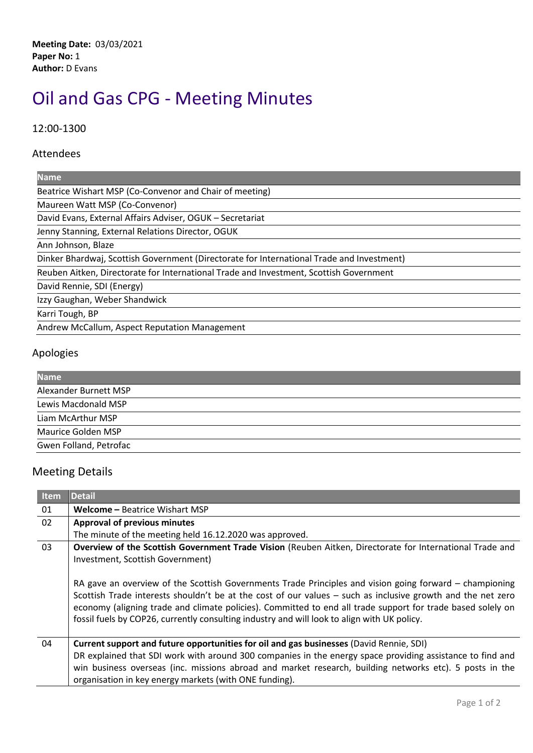## Oil and Gas CPG - Meeting Minutes

12:00-1300

## Attendees

| <b>Name</b>                                                                               |
|-------------------------------------------------------------------------------------------|
| Beatrice Wishart MSP (Co-Convenor and Chair of meeting)                                   |
| Maureen Watt MSP (Co-Convenor)                                                            |
| David Evans, External Affairs Adviser, OGUK - Secretariat                                 |
| Jenny Stanning, External Relations Director, OGUK                                         |
| Ann Johnson, Blaze                                                                        |
| Dinker Bhardwaj, Scottish Government (Directorate for International Trade and Investment) |
| Reuben Aitken, Directorate for International Trade and Investment, Scottish Government    |
| David Rennie, SDI (Energy)                                                                |
| Izzy Gaughan, Weber Shandwick                                                             |
| Karri Tough, BP                                                                           |
| Andrew McCallum, Aspect Reputation Management                                             |

## Apologies

| <b>Name</b>            |  |
|------------------------|--|
| Alexander Burnett MSP  |  |
| Lewis Macdonald MSP    |  |
| Liam McArthur MSP      |  |
| Maurice Golden MSP     |  |
| Gwen Folland, Petrofac |  |

## Meeting Details

| <b>Item</b> | <b>Detail</b>                                                                                                                                                                                                                                                                                                                                                                                                                        |
|-------------|--------------------------------------------------------------------------------------------------------------------------------------------------------------------------------------------------------------------------------------------------------------------------------------------------------------------------------------------------------------------------------------------------------------------------------------|
| 01          | <b>Welcome – Beatrice Wishart MSP</b>                                                                                                                                                                                                                                                                                                                                                                                                |
| 02          | <b>Approval of previous minutes</b>                                                                                                                                                                                                                                                                                                                                                                                                  |
|             | The minute of the meeting held 16.12.2020 was approved.                                                                                                                                                                                                                                                                                                                                                                              |
| 03          | Overview of the Scottish Government Trade Vision (Reuben Aitken, Directorate for International Trade and<br>Investment, Scottish Government)                                                                                                                                                                                                                                                                                         |
|             | RA gave an overview of the Scottish Governments Trade Principles and vision going forward - championing<br>Scottish Trade interests shouldn't be at the cost of our values - such as inclusive growth and the net zero<br>economy (aligning trade and climate policies). Committed to end all trade support for trade based solely on<br>fossil fuels by COP26, currently consulting industry and will look to align with UK policy. |
| 04          | Current support and future opportunities for oil and gas businesses (David Rennie, SDI)<br>DR explained that SDI work with around 300 companies in the energy space providing assistance to find and<br>win business overseas (inc. missions abroad and market research, building networks etc). 5 posts in the<br>organisation in key energy markets (with ONE funding).                                                            |